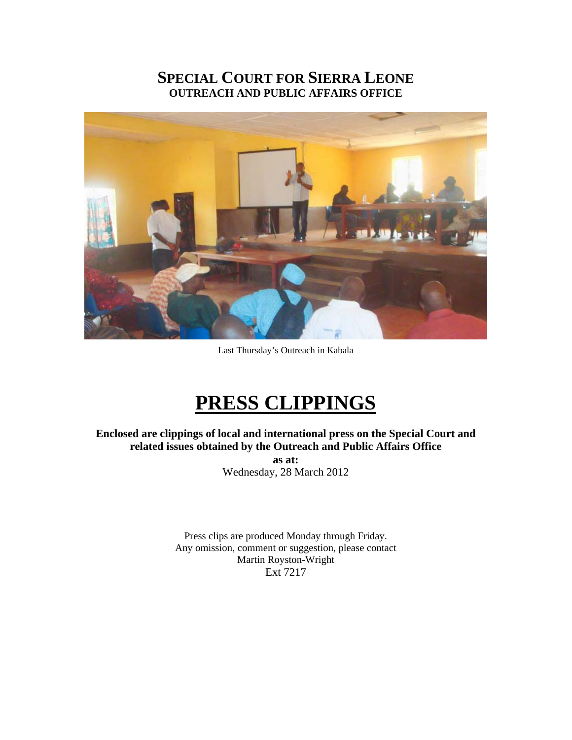## **SPECIAL COURT FOR SIERRA LEONE OUTREACH AND PUBLIC AFFAIRS OFFICE**



Last Thursday's Outreach in Kabala

# **PRESS CLIPPINGS**

**Enclosed are clippings of local and international press on the Special Court and related issues obtained by the Outreach and Public Affairs Office as at:**  Wednesday, 28 March 2012

> Press clips are produced Monday through Friday. Any omission, comment or suggestion, please contact Martin Royston-Wright Ext 7217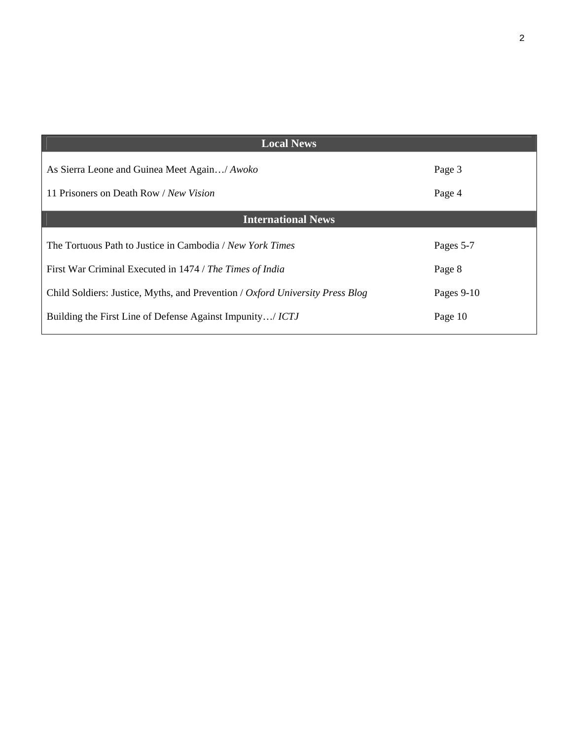| <b>Local News</b>                                                             |              |
|-------------------------------------------------------------------------------|--------------|
| As Sierra Leone and Guinea Meet Again/ Awoko                                  | Page 3       |
| 11 Prisoners on Death Row / New Vision                                        | Page 4       |
| <b>International News</b>                                                     |              |
| The Tortuous Path to Justice in Cambodia / New York Times                     | Pages 5-7    |
| First War Criminal Executed in 1474 / The Times of India                      | Page 8       |
| Child Soldiers: Justice, Myths, and Prevention / Oxford University Press Blog | Pages $9-10$ |
| Building the First Line of Defense Against Impunity/ ICTJ                     | Page 10      |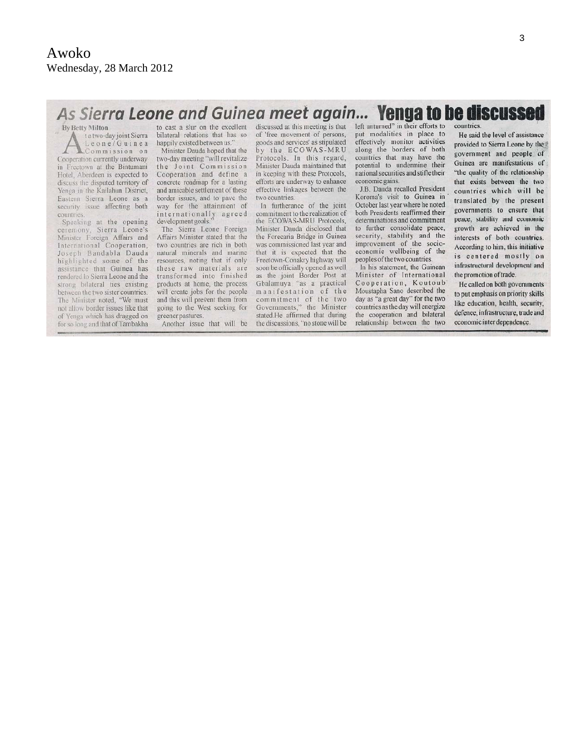## As Sierra Leone and Guinea meet again... Yenga to be discussed

**By Betty Milton** 

ta two-day joint Sierra Leone/Guinea LCommission on Cooperation currently underway in Freetown at the Bintumani Hotel, Aberdeen is expected to discuss the disputed territory of Yenga in the Kailahun District, Eastern Sierra Leone as a security issue affecting both countries.

Speaking at the opening ceremony, Sierra Leone's Minister Foreign Affairs and International Cooperation, Joseph Bandabla Dauda highlighted some of the assistance that Guinea has rendered to Sierra Leone and the strong bilateral ties existing between the two sister countries. The Minister noted, "We must not allow border issues like that of Yenga which has dragged on for so long and that of Tambakha

to cast a slur on the excellent discussed at this meeting is that bilateral relations that has so happily existed between us."

Minister Dauda hoped that the two-day meeting "will revitalize the Joint Commission Cooperation and define a concrete roadmap for a lasting and amicable settlement of these border issues, and to pave the way for the attainment of internationally agreed development goals.

The Sierra Leone Foreign Affairs Minister stated that the two countries are rich in both natural minerals and marine resources, noting that if only these raw materials are transformed into finished products at home, the process will create jobs for the people and this will prevent them from going to the West seeking for greener pastures.

Another issue that will be

of 'free movement of persons, goods and services' as stipulated by the ECOWAS-MRU Protocols. In this regard, Minister Dauda maintained that in keeping with these Protocols, efforts are underway to enhance effective linkages between the two countries.

In furtherance of the joint commitment to the realization of the ECOWAS-MRU Protocols, Minister Dauda disclosed that the Forecaria Bridge in Guinea was commissioned last year and that it is expected that the Freetown-Conakry highway will soon be officially opened as well as the joint Border Post at Gbalamuya "as a practical manifestation of the commitment of the two Governments," the Minister stated.He affirmed that during the discussions, "no stone will be

left unturned" in their efforts to put modalities in place to effectively monitor activities along the borders of both countries that may have the potential to undermine their national securities and stifle their economic gains.

J.B. Dauda recalled President Koroma's visit to Guinea in October last year where he noted both Presidents reaffirmed their determinations and commitment to further consolidate peace, security, stability and the improvement of the socioeconomic wellbeing of the peoples of the two countries.

In his statement, the Guinean Minister of International Cooperation, Koutoub Moustapha Sano described the day as "a great day" for the two countries as the day will energize the cooperation and bilateral relationship between the two countries.

He said the level of assistance provided to Sierra Leone by the government and people of Guinea are manifestations of "the quality of the relationship that exists between the two countries which will be translated by the present governments to ensure that peace, stability and economic growth are achieved in the interests of both countries. According to him, this initiative is centered mostly on infrastructural development and the promotion of trade.

He called on both governments to put emphasis on priority skills like education, health, security, defence, infrastructure, trade and economic inter dependence.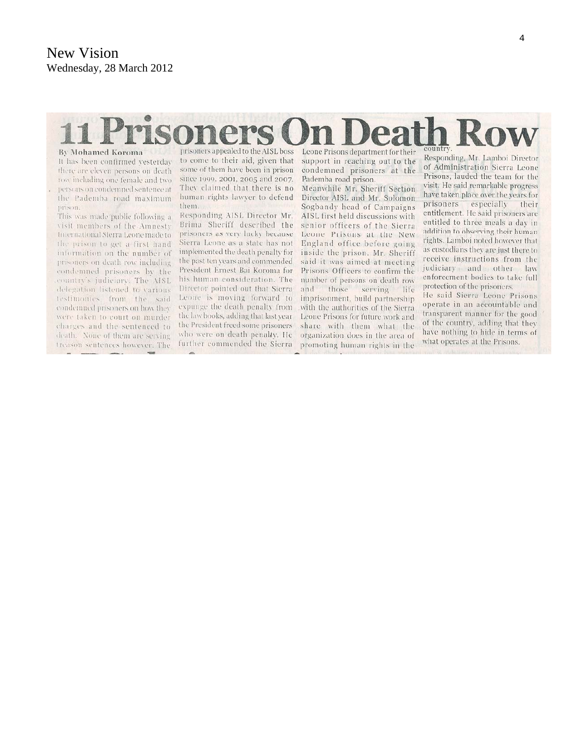## ea country **By Mohamed Koroma**

It has been confirmed vesterday there are eleven persons on death row including one female and two persons on condemned sentence at the Pademba road maximum prison.

This was made public following a visit members of the Amnesty International Sierra Leone made to the prison to get a first hand information on the number of prisoners on death row including condemned prisoners by the country's judiciary. The AISL delegation listened to various testimonies from the said condemned prisoners on how they were taken to court on murder charges and the sentenced to death. None of them are serving treason sentences however. The

prisoners appealed to the AISL boss to come to their aid, given that some of them have been in prison since 1999. 2001, 2005 and 2007. They claimed that there is no human rights lawyer to defend them.

Responding AISL Director Mr. Brima Sheriff described the prisoners as very lucky because Sierra Leone as a state has not implemented the death penalty for the past ten years and commended President Ernest Bai Koroma for his human consideration. The Director pointed out that Sierra Leone is moving forward to expunge the death penalty from the law books, adding that last year. the President freed some prisoners who were on death penalty. He

Leone Prisons department for their support in reaching out to the condemned prisoners at the Pademba road prison.

Meanwhile Mr. Sheriff Section Director AISL and Mr. Solomon Sogbandy head of Campaigns AISL first held discussions with senior officers of the Sierra Leone Prisons at the New England office before going inside the prison. Mr. Sheriff said it was aimed at meeting Prisons Officers to confirm the number of persons on death row and those serving life imprisonment, build partnership with the authorities of the Sierra Leone Prisons for future work and share with them what the organization does in the area of further commended the Sierra promoting human rights in the

Responding, Mr. Lamboi Director of Administration Sierra Leone Prisons, lauded the team for the visit. He said remarkable progress have taken place over the years for prisoners especially their entitlement. He said prisoners are entitled to three meals a day in addition to observing their human rights. Lamboi noted however that as custodians they are just there to receive instructions from the judiciary and other law enforcement bodies to take full protection of the prisoners. He said Sierra Leone Prisons operate in an accountable and

transparent manner for the good of the country, adding that they have nothing to hide in terms of what operates at the Prisons.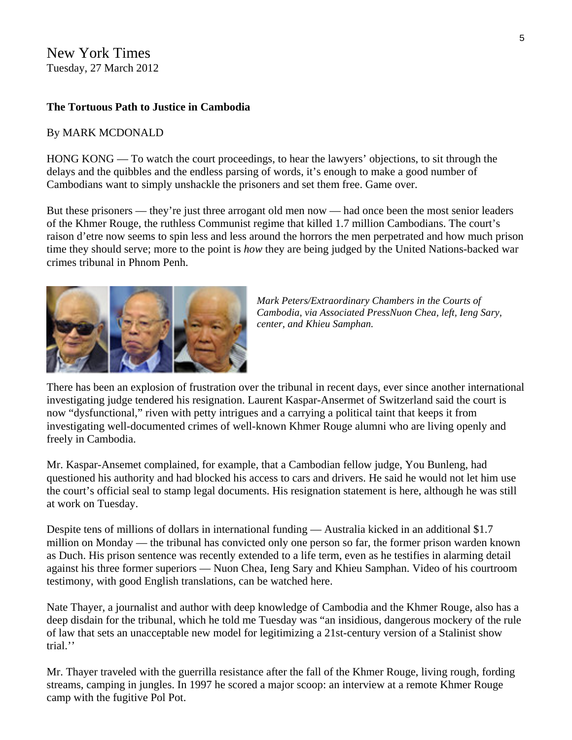New York Times Tuesday, 27 March 2012

## **The Tortuous Path to Justice in Cambodia**

### By [MARK MCDONALD](http://rendezvous.blogs.nytimes.com/author/mark-mcdonald/)

HONG KONG — To watch the court proceedings, to hear the lawyers' objections, to sit through the delays and the quibbles and the endless parsing of words, it's enough to make a good number of Cambodians want to simply unshackle the prisoners and set them free. Game over.

But these prisoners — they're just three arrogant old men now — had once been the most senior leaders of the Khmer Rouge, the ruthless Communist regime that killed 1.7 million Cambodians. The court's raison d'etre now seems to spin less and less around the horrors the men perpetrated and how much prison time they should serve; more to the point is *how* they are being judged by the United Nations-backed war crimes tribunal in Phnom Penh.



*Mark Peters/Extraordinary Chambers in the Courts of Cambodia, via Associated PressNuon Chea, left, Ieng Sary, center, and Khieu Samphan.* 

There has been an explosion of frustration over the tribunal in recent days, ever since another international investigating judge tendered his resignation. Laurent Kaspar-Ansermet of Switzerland said [the court is](http://www.thecambodiaherald.com/cambodia/detail/1?page=11&token=OTAwOTVhYmNjNTg5M2Y3ZTA0YjQzZGZlZTA3OWIw)  [now "dysfunctional,"](http://www.thecambodiaherald.com/cambodia/detail/1?page=11&token=OTAwOTVhYmNjNTg5M2Y3ZTA0YjQzZGZlZTA3OWIw) riven with petty intrigues and a carrying a political taint that keeps it from investigating well-documented crimes of well-known Khmer Rouge alumni who are living openly and freely in Cambodia.

Mr. Kaspar-Ansemet complained, for example, that a Cambodian fellow judge, You Bunleng, had questioned his authority and had blocked his access to cars and drivers. He said he would not let him use the court's official seal to stamp legal documents. His resignation statement is [here,](http://www.eccc.gov.kh/en/articles/statement-international-co-investigating-judge) although he was still at work on Tuesday.

Despite tens of millions of dollars in international funding — Australia kicked in an additional \$1.7 million on Monday — the tribunal has convicted only one person so far, the former prison warden known as Duch. His prison sentence was recently extended to a life term, even as he testifies in alarming detail against his three former superiors — Nuon Chea, Ieng Sary and Khieu Samphan. Video of his courtroom testimony, with good English translations, can be watched [here.](http://www.cambodiatribunal.org/) 

Nate Thayer, a journalist and author with deep knowledge of Cambodia and the Khmer Rouge, also has a deep disdain for the tribunal, which he told me Tuesday was "an insidious, dangerous mockery of the rule of law that sets an unacceptable new model for legitimizing a 21st-century version of a Stalinist show trial.''

Mr. Thayer traveled with the guerrilla resistance after the fall of the Khmer Rouge, living rough, fording streams, camping in jungles. In 1997 he scored a major scoop: [an interview at a remote Khmer Rouge](http://www.nytimes.com/1997/10/23/world/in-an-interview-pol-pot-declares-his-conscience-is-clear.html?src=pm)  [camp with the fugitive Pol Pot.](http://www.nytimes.com/1997/10/23/world/in-an-interview-pol-pot-declares-his-conscience-is-clear.html?src=pm)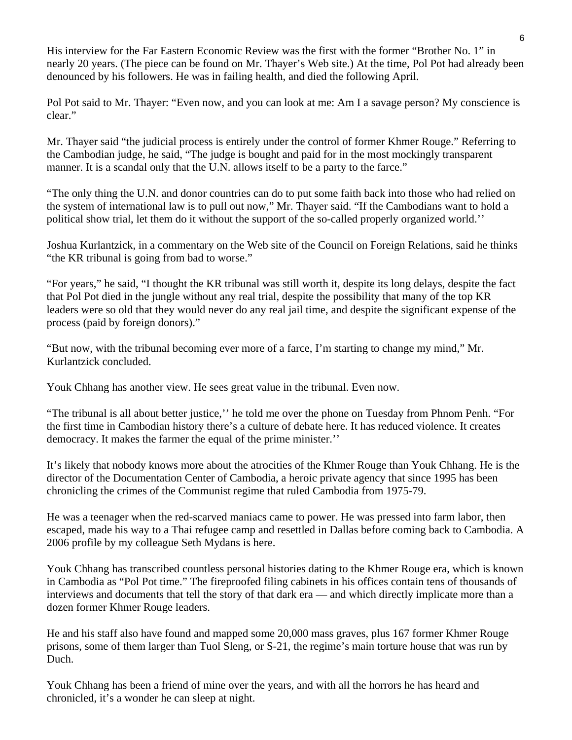His interview for the Far Eastern Economic Review was the first with the former "Brother No. 1" in nearly 20 years. (The piece can be found on [Mr. Thayer's Web site.](http://natethayer.com/)) At the time, Pol Pot had already been denounced by his followers. He was in failing health, and died the following April.

Pol Pot said to Mr. Thayer: "Even now, and you can look at me: Am I a savage person? My conscience is clear."

Mr. Thayer said "the judicial process is entirely under the control of former Khmer Rouge." Referring to the Cambodian judge, he said, "The judge is bought and paid for in the most mockingly transparent manner. It is a scandal only that the U.N. allows itself to be a party to the farce."

"The only thing the U.N. and donor countries can do to put some faith back into those who had relied on the system of international law is to pull out now," Mr. Thayer said. "If the Cambodians want to hold a political show trial, let them do it without the support of the so-called properly organized world.''

Joshua Kurlantzick, in [a commentary](http://blogs.cfr.org/asia/2012/03/22/another-judge-quits-khmer-rouge-tribunal/) on the Web site of the Council on Foreign Relations, said he thinks "the KR tribunal is going from bad to worse."

"For years," he said, "I thought the KR tribunal was still worth it, despite its long delays, despite the fact that Pol Pot died in the jungle without any real trial, despite the possibility that many of the top KR leaders were so old that they would never do any real jail time, and despite the significant expense of the process (paid by foreign donors)."

"But now, with the tribunal becoming ever more of a farce, I'm starting to change my mind," Mr. Kurlantzick concluded.

Youk Chhang has another view. He sees great value in the tribunal. Even now.

"The tribunal is all about better justice,'' he told me over the phone on Tuesday from Phnom Penh. "For the first time in Cambodian history there's a culture of debate here. It has reduced violence. It creates democracy. It makes the farmer the equal of the prime minister.''

It's likely that nobody knows more about the atrocities of the Khmer Rouge than Youk Chhang. He is the director of the [Documentation Center of Cambodia,](http://www.dccam.org/) a heroic private agency that since 1995 has been chronicling the crimes of the Communist regime that ruled Cambodia from 1975-79.

He was a teenager when the red-scarved maniacs came to power. He was pressed into farm labor, then escaped, made his way to a Thai refugee camp and resettled in Dallas before coming back to Cambodia. A 2006 profile by my colleague Seth Mydans is [here.](http://www.nytimes.com/2006/09/04/world/asia/04iht-profile.2691973.html?scp=2&sq=Mydans%20Youk%20Chhang&st=cse)

Youk Chhang has transcribed countless personal histories dating to the Khmer Rouge era, which is known in Cambodia as "Pol Pot time." The fireproofed filing cabinets in his offices contain tens of thousands of interviews and documents that tell the story of that dark era — and which directly implicate more than a dozen former Khmer Rouge leaders.

He and his staff also have found and mapped some 20,000 mass graves, plus 167 former Khmer Rouge prisons, some of them larger than Tuol Sleng, or S-21, the regime's main torture house that was run by Duch.

Youk Chhang has been a friend of mine over the years, and with all the horrors he has heard and chronicled, it's a wonder he can sleep at night.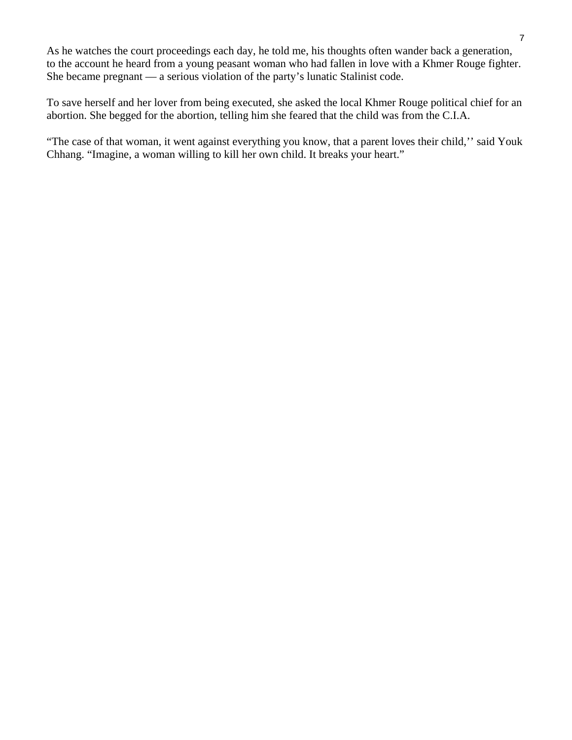As he watches the court proceedings each day, he told me, his thoughts often wander back a generation, to the account he heard from a young peasant woman who had fallen in love with a Khmer Rouge fighter. She became pregnant — a serious violation of the party's lunatic Stalinist code.

To save herself and her lover from being executed, she asked the local Khmer Rouge political chief for an abortion. She begged for the abortion, telling him she feared that the child was from the C.I.A.

"The case of that woman, it went against everything you know, that a parent loves their child,'' said Youk Chhang. "Imagine, a woman willing to kill her own child. It breaks your heart."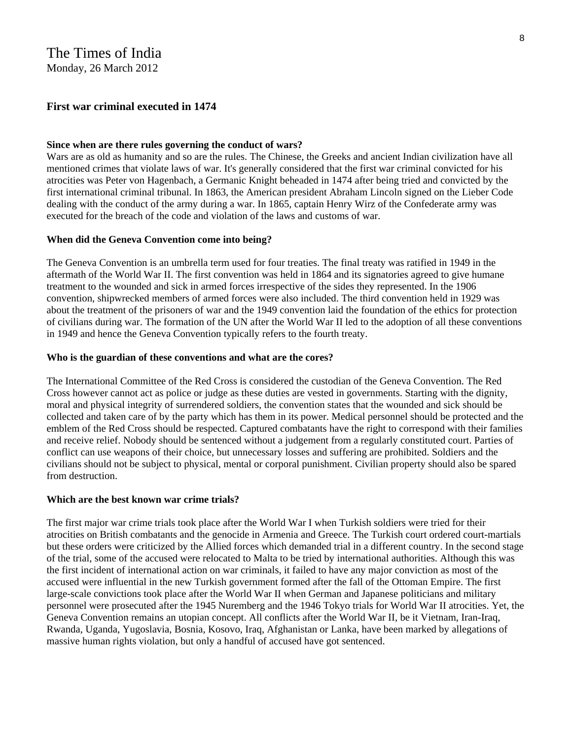## The Times of India

Monday, 26 March 2012

#### **First war criminal executed in 1474**

#### **Since when are there rules governing the conduct of wars?**

Wars are as old as humanity and so are the rules. The Chinese, the Greeks and ancient Indian civilization have all mentioned crimes that violate laws of war. It's generally considered that the first war criminal convicted for his atrocities was Peter von Hagenbach, a Germanic Knight beheaded in 1474 after being tried and convicted by the first international criminal tribunal. In 1863, the American president Abraham Lincoln signed on the Lieber Code dealing with the conduct of the army during a war. In 1865, captain Henry Wirz of the Confederate army was executed for the breach of the code and violation of the laws and customs of war.

#### **When did the Geneva Convention come into being?**

The Geneva Convention is an umbrella term used for four treaties. The final treaty was ratified in 1949 in the aftermath of the World War II. The first convention was held in 1864 and its signatories agreed to give humane treatment to the wounded and sick in armed forces irrespective of the sides they represented. In the 1906 convention, shipwrecked members of armed forces were also included. The third convention held in 1929 was about the treatment of the prisoners of war and the 1949 convention laid the foundation of the ethics for protection of civilians during war. The formation of the UN after the World War II led to the adoption of all these conventions in 1949 and hence the Geneva Convention typically refers to the fourth treaty.

#### **Who is the guardian of these conventions and what are the cores?**

The International Committee of the Red Cross is considered the custodian of the Geneva Convention. The Red Cross however cannot act as police or judge as these duties are vested in governments. Starting with the dignity, moral and physical integrity of surrendered soldiers, the convention states that the wounded and sick should be collected and taken care of by the party which has them in its power. Medical personnel should be protected and the emblem of the Red Cross should be respected. Captured combatants have the right to correspond with their families and receive relief. Nobody should be sentenced without a judgement from a regularly constituted court. Parties of conflict can use weapons of their choice, but unnecessary losses and suffering are prohibited. Soldiers and the civilians should not be subject to physical, mental or corporal punishment. Civilian property should also be spared from destruction.

#### **Which are the best known war crime trials?**

The first major war crime trials took place after the World War I when Turkish soldiers were tried for their atrocities on British combatants and the genocide in Armenia and Greece. The Turkish court ordered court-martials but these orders were criticized by the Allied forces which demanded trial in a different country. In the second stage of the trial, some of the accused were relocated to Malta to be tried by international authorities. Although this was the first incident of international action on war criminals, it failed to have any major conviction as most of the accused were influential in the new Turkish government formed after the fall of the Ottoman Empire. The first large-scale convictions took place after the World War II when German and Japanese politicians and military personnel were prosecuted after the 1945 Nuremberg and the 1946 Tokyo trials for World War II atrocities. Yet, the Geneva Convention remains an utopian concept. All conflicts after the World War II, be it Vietnam, Iran-Iraq, Rwanda, Uganda, Yugoslavia, Bosnia, Kosovo, Iraq, Afghanistan or Lanka, have been marked by allegations of massive human rights violation, but only a handful of accused have got sentenced.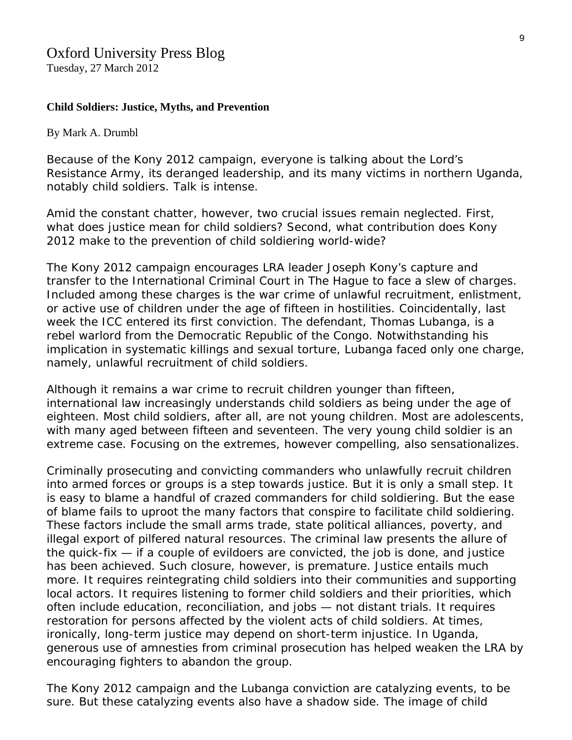Tuesday, 27 March 2012

### **Child Soldiers: Justice, Myths, and Prevention**

#### By Mark A. Drumbl

Because of the Kony 2012 campaign, everyone is talking about the Lord's Resistance Army, its deranged leadership, and its many victims in northern Uganda, notably child soldiers. Talk is intense.

Amid the constant chatter, however, two crucial issues remain neglected. First, what does justice mean for child soldiers? Second, what contribution does Kony 2012 make to the prevention of child soldiering world-wide?

The Kony 2012 campaign encourages LRA leader Joseph Kony's capture and transfer to the International Criminal Court in The Hague to face a slew of charges. Included among these charges is the war crime of unlawful recruitment, enlistment, or active use of children under the age of fifteen in hostilities. Coincidentally, last week the ICC entered its first conviction. The defendant, [Thomas Lubanga,](http://en.wikipedia.org/wiki/Thomas_Lubanga_Dyilo) is a rebel warlord from the Democratic Republic of the Congo. Notwithstanding his implication in systematic killings and sexual torture, Lubanga faced only one charge, namely, unlawful recruitment of child soldiers.

Although it remains a war crime to recruit children younger than fifteen, international law increasingly understands child soldiers as being under the age of eighteen. Most child soldiers, after all, are not young children. Most are adolescents, with many aged between fifteen and seventeen. The very young child soldier is an extreme case. Focusing on the extremes, however compelling, also sensationalizes.

Criminally prosecuting and convicting commanders who unlawfully recruit children into armed forces or groups is a step towards justice. But it is only a small step. It is easy to blame a handful of crazed commanders for child soldiering. But the ease of blame fails to uproot the many factors that conspire to facilitate child soldiering. These factors include the small arms trade, state political alliances, poverty, and illegal export of pilfered natural resources. The criminal law presents the allure of the quick-fix — if a couple of evildoers are convicted, the job is done, and justice has been achieved. Such closure, however, is premature. Justice entails much more. It requires reintegrating child soldiers into their communities and supporting local actors. It requires listening to former child soldiers and their priorities, which often include education, reconciliation, and jobs — not distant trials. It requires restoration for persons affected by the violent acts of child soldiers. At times, ironically, long-term justice may depend on short-term injustice. In Uganda, generous use of amnesties from criminal prosecution has helped weaken the LRA by encouraging fighters to abandon the group.

The Kony 2012 campaign and the Lubanga conviction are catalyzing events, to be sure. But these catalyzing events also have a shadow side. The image of child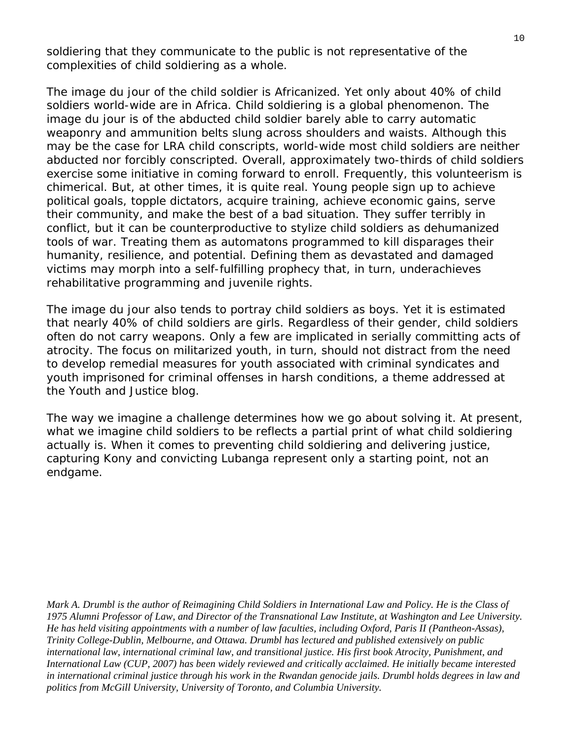soldiering that they communicate to the public is not representative of the complexities of child soldiering as a whole.

The image du jour of the child soldier is Africanized. Yet only about 40% of child soldiers world-wide are in Africa. Child soldiering is a global phenomenon. The image du jour is of the abducted child soldier barely able to carry automatic weaponry and ammunition belts slung across shoulders and waists. Although this may be the case for LRA child conscripts, world-wide most child soldiers are neither abducted nor forcibly conscripted. Overall, approximately two-thirds of child soldiers exercise some initiative in coming forward to enroll. Frequently, this volunteerism is chimerical. But, at other times, it is quite real. Young people sign up to achieve political goals, topple dictators, acquire training, achieve economic gains, serve their community, and make the best of a bad situation. They suffer terribly in conflict, but it can be counterproductive to stylize child soldiers as dehumanized tools of war. Treating them as automatons programmed to kill disparages their humanity, resilience, and potential. Defining them as devastated and damaged victims may morph into a self-fulfilling prophecy that, in turn, underachieves rehabilitative programming and juvenile rights.

The image du jour also tends to portray child soldiers as boys. Yet it is estimated that nearly 40% of child soldiers are girls. Regardless of their gender, child soldiers often do not carry weapons. Only a few are implicated in serially committing acts of atrocity. The focus on militarized youth, in turn, should not distract from the need to develop remedial measures for youth associated with criminal syndicates and youth imprisoned for criminal offenses in harsh conditions, a theme addressed at the [Youth and Justice blog](http://www.youthpolicy.org/justice/2012/03/02/african-children-in-prison-photos-by-fernando-moleres/).

The way we imagine a challenge determines how we go about solving it. At present, what we imagine child soldiers to be reflects a partial print of what child soldiering actually is. When it comes to preventing child soldiering and delivering justice, capturing Kony and convicting Lubanga represent only a starting point, not an endgame.

*Mark A. Drumbl is the author of [Reimagining Child Soldiers in International Law and Policy.](http://www.powells.com/biblio/62-9780199592661-1) He is the Class of 1975 Alumni Professor of Law, and Director of the Transnational Law Institute, at Washington and Lee University. He has held visiting appointments with a number of law faculties, including Oxford, Paris II (Pantheon-Assas), Trinity College-Dublin, Melbourne, and Ottawa. Drumbl has lectured and published extensively on public international law, international criminal law, and transitional justice. His first book Atrocity, Punishment, and International Law (CUP, 2007) has been widely reviewed and critically acclaimed. He initially became interested in international criminal justice through his work in the Rwandan genocide jails. Drumbl holds degrees in law and politics from McGill University, University of Toronto, and Columbia University.*